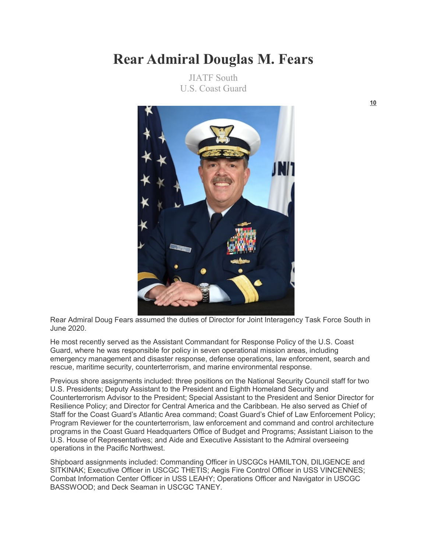## **Rear Admiral Douglas M. Fears**

JIATF South U.S. Coast Guard



Rear Admiral Doug Fears assumed the duties of Director for Joint Interagency Task Force South in June 2020.

He most recently served as the Assistant Commandant for Response Policy of the U.S. Coast Guard, where he was responsible for policy in seven operational mission areas, including emergency management and disaster response, defense operations, law enforcement, search and rescue, maritime security, counterterrorism, and marine environmental response.

Previous shore assignments included: three positions on the National Security Council staff for two U.S. Presidents; Deputy Assistant to the President and Eighth Homeland Security and Counterterrorism Advisor to the President; Special Assistant to the President and Senior Director for Resilience Policy; and Director for Central America and the Caribbean. He also served as Chief of Staff for the Coast Guard's Atlantic Area command; Coast Guard's Chief of Law Enforcement Policy; Program Reviewer for the counterterrorism, law enforcement and command and control architecture programs in the Coast Guard Headquarters Office of Budget and Programs; Assistant Liaison to the U.S. House of Representatives; and Aide and Executive Assistant to the Admiral overseeing operations in the Pacific Northwest.

Shipboard assignments included: Commanding Officer in USCGCs HAMILTON, DILIGENCE and SITKINAK; Executive Officer in USCGC THETIS; Aegis Fire Control Officer in USS VINCENNES; Combat Information Center Officer in USS LEAHY; Operations Officer and Navigator in USCGC BASSWOOD; and Deck Seaman in USCGC TANEY.

**[10](https://www.uscg.mil/Biographies/Display/Article/1585785/rear-admiral-douglas-m-fears/)**